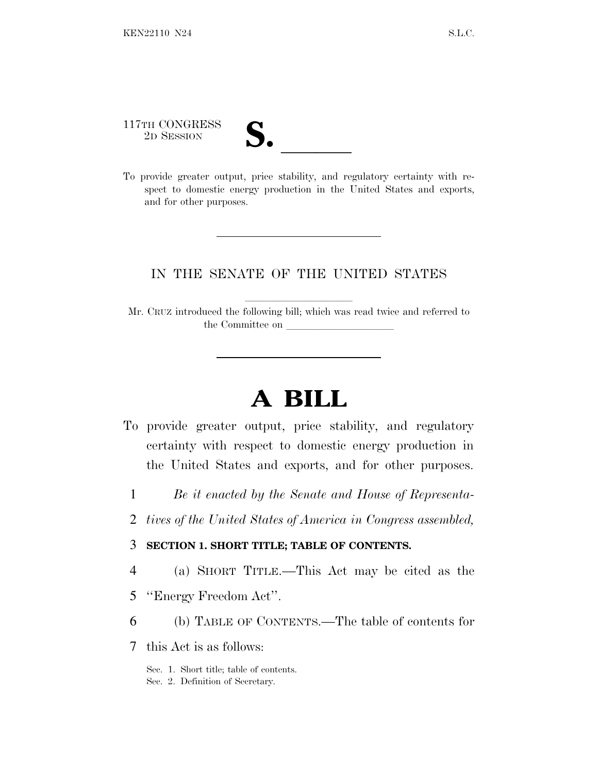117TH CONGRESS

117TH CONGRESS<br>
2D SESSION<br>
To provide greater output, price stability, and regulatory certainty with respect to domestic energy production in the United States and exports, and for other purposes.

### IN THE SENATE OF THE UNITED STATES

Mr. CRUZ introduced the following bill; which was read twice and referred to the Committee on

# **A BILL**

- To provide greater output, price stability, and regulatory certainty with respect to domestic energy production in the United States and exports, and for other purposes.
	- 1 *Be it enacted by the Senate and House of Representa-*
	- 2 *tives of the United States of America in Congress assembled,*

#### 3 **SECTION 1. SHORT TITLE; TABLE OF CONTENTS.**

- 4 (a) SHORT TITLE.—This Act may be cited as the
- 5 ''Energy Freedom Act''.
- 6 (b) TABLE OF CONTENTS.—The table of contents for
- 7 this Act is as follows:

Sec. 1. Short title; table of contents. Sec. 2. Definition of Secretary.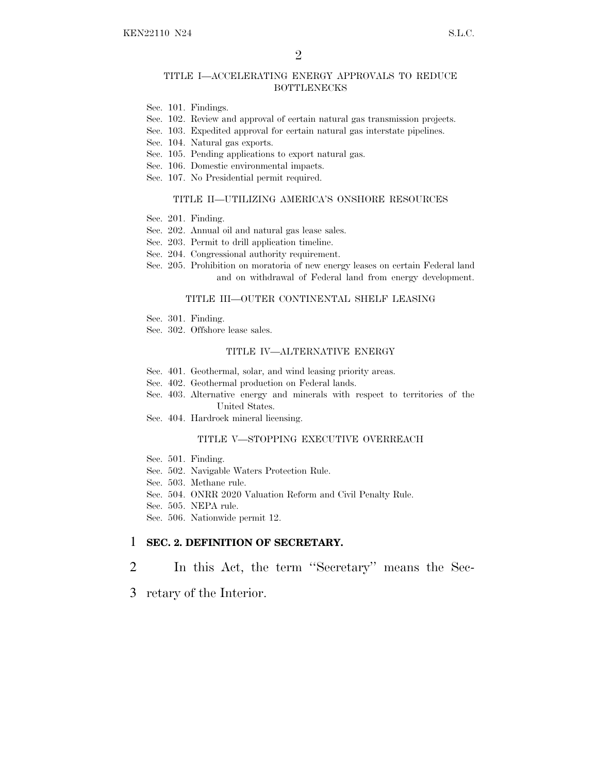#### TITLE I—ACCELERATING ENERGY APPROVALS TO REDUCE BOTTLENECKS

- Sec. 101. Findings.
- Sec. 102. Review and approval of certain natural gas transmission projects.
- Sec. 103. Expedited approval for certain natural gas interstate pipelines.
- Sec. 104. Natural gas exports.
- Sec. 105. Pending applications to export natural gas.
- Sec. 106. Domestic environmental impacts.
- Sec. 107. No Presidential permit required.

#### TITLE II—UTILIZING AMERICA'S ONSHORE RESOURCES

- Sec. 201. Finding.
- Sec. 202. Annual oil and natural gas lease sales.
- Sec. 203. Permit to drill application timeline.
- Sec. 204. Congressional authority requirement.
- Sec. 205. Prohibition on moratoria of new energy leases on certain Federal land and on withdrawal of Federal land from energy development.

#### TITLE III—OUTER CONTINENTAL SHELF LEASING

- Sec. 301. Finding.
- Sec. 302. Offshore lease sales.

#### TITLE IV—ALTERNATIVE ENERGY

- Sec. 401. Geothermal, solar, and wind leasing priority areas.
- Sec. 402. Geothermal production on Federal lands.
- Sec. 403. Alternative energy and minerals with respect to territories of the United States.
- Sec. 404. Hardrock mineral licensing.

#### TITLE V—STOPPING EXECUTIVE OVERREACH

- Sec. 501. Finding.
- Sec. 502. Navigable Waters Protection Rule.
- Sec. 503. Methane rule.
- Sec. 504. ONRR 2020 Valuation Reform and Civil Penalty Rule.
- Sec. 505. NEPA rule.
- Sec. 506. Nationwide permit 12.

#### 1 **SEC. 2. DEFINITION OF SECRETARY.**

- 2 In this Act, the term ''Secretary'' means the Sec-
- 3 retary of the Interior.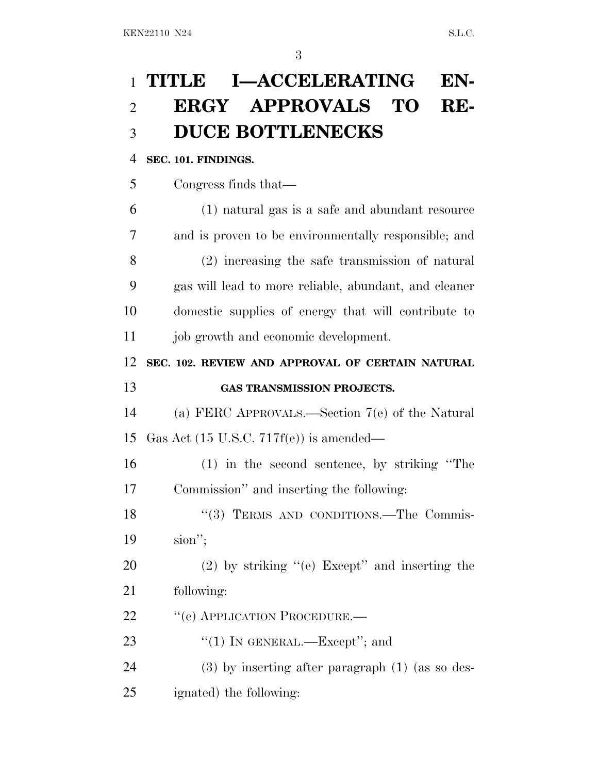# **TITLE I—ACCELERATING EN- ERGY APPROVALS TO RE-DUCE BOTTLENECKS**

### **SEC. 101. FINDINGS.**

| 5 | Congress finds that— |  |
|---|----------------------|--|
|   |                      |  |

 (1) natural gas is a safe and abundant resource and is proven to be environmentally responsible; and (2) increasing the safe transmission of natural gas will lead to more reliable, abundant, and cleaner domestic supplies of energy that will contribute to job growth and economic development.

**SEC. 102. REVIEW AND APPROVAL OF CERTAIN NATURAL**

## **GAS TRANSMISSION PROJECTS.**

 (a) FERC APPROVALS.—Section 7(e) of the Natural Gas Act (15 U.S.C. 717f(e)) is amended—

 (1) in the second sentence, by striking ''The Commission'' and inserting the following:

18 "(3) TERMS AND CONDITIONS.—The Commis-sion'';

 (2) by striking ''(e) Except'' and inserting the following:

22 " (e) APPLICATION PROCEDURE.—

23 "(1) IN GENERAL.—Except"; and

(3) by inserting after paragraph (1) (as so des-

ignated) the following: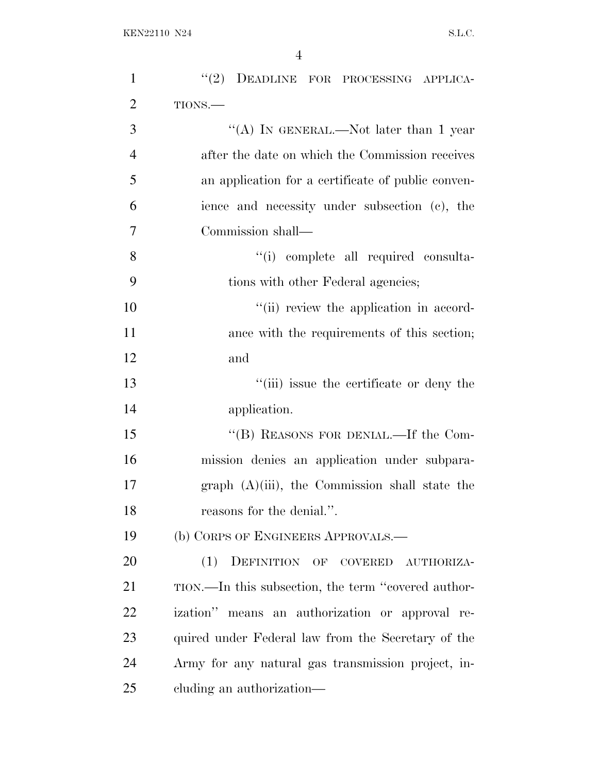| $\mathbf{1}$   | "(2) DEADLINE FOR PROCESSING APPLICA-               |
|----------------|-----------------------------------------------------|
| $\overline{2}$ | TIONS.-                                             |
| 3              | "(A) IN GENERAL.—Not later than 1 year              |
| $\overline{4}$ | after the date on which the Commission receives     |
| 5              | an application for a certificate of public conven-  |
| 6              | ience and necessity under subsection (c), the       |
| $\overline{7}$ | Commission shall—                                   |
| 8              | "(i) complete all required consulta-                |
| 9              | tions with other Federal agencies;                  |
| 10             | "(ii) review the application in accord-             |
| 11             | ance with the requirements of this section;         |
| 12             | and                                                 |
| 13             | "(iii) issue the certificate or deny the            |
| 14             | application.                                        |
| 15             | "(B) REASONS FOR DENIAL.—If the Com-                |
| 16             | mission denies an application under subpara-        |
| 17             | graph $(A)(iii)$ , the Commission shall state the   |
| 18             | reasons for the denial.".                           |
| 19             | (b) CORPS OF ENGINEERS APPROVALS.—                  |
| 20             | DEFINITION OF COVERED<br>(1)<br>AUTHORIZA-          |
| 21             | TION.—In this subsection, the term "covered author- |
| 22             | ization" means an authorization or approval re-     |
| 23             | quired under Federal law from the Secretary of the  |
| 24             | Army for any natural gas transmission project, in-  |
| 25             | cluding an authorization—                           |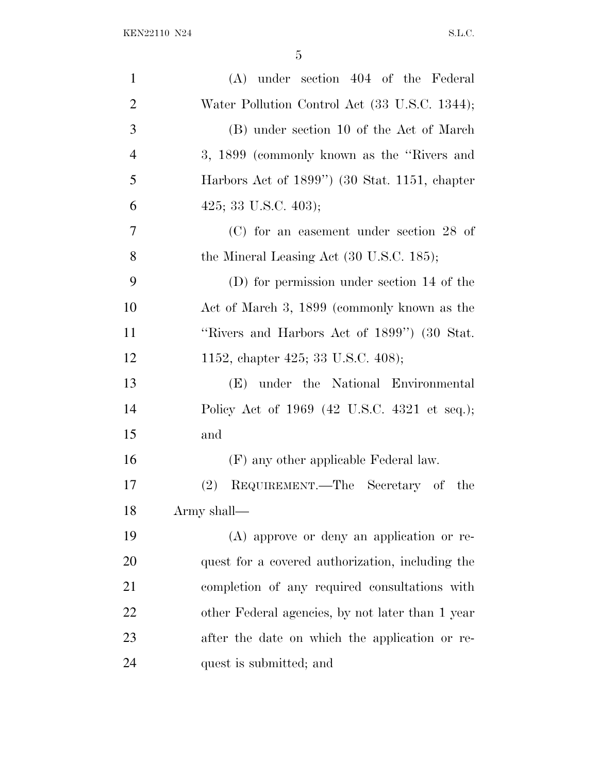| $\mathbf{1}$   | $(A)$ under section 404 of the Federal            |
|----------------|---------------------------------------------------|
| $\overline{2}$ | Water Pollution Control Act (33 U.S.C. 1344);     |
| 3              | (B) under section 10 of the Act of March          |
| $\overline{4}$ | 3, 1899 (commonly known as the "Rivers and        |
| 5              | Harbors Act of 1899") (30 Stat. 1151, chapter     |
| 6              | 425; 33 U.S.C. 403);                              |
| 7              | $(C)$ for an easement under section 28 of         |
| 8              | the Mineral Leasing Act (30 U.S.C. 185);          |
| 9              | (D) for permission under section 14 of the        |
| 10             | Act of March 3, 1899 (commonly known as the       |
| 11             | "Rivers and Harbors Act of 1899") (30 Stat.       |
| 12             | 1152, chapter 425; 33 U.S.C. 408);                |
| 13             | (E) under the National Environmental              |
| 14             | Policy Act of 1969 (42 U.S.C. 4321 et seq.);      |
| 15             | and                                               |
| 16             | (F) any other applicable Federal law.             |
| 17             | REQUIREMENT.—The Secretary of<br>$(2)^{-}$<br>the |
| 18             | Army shall-                                       |
| 19             | (A) approve or deny an application or re-         |
| 20             | quest for a covered authorization, including the  |
| 21             | completion of any required consultations with     |
| 22             | other Federal agencies, by not later than 1 year  |
| 23             | after the date on which the application or re-    |
| 24             | quest is submitted; and                           |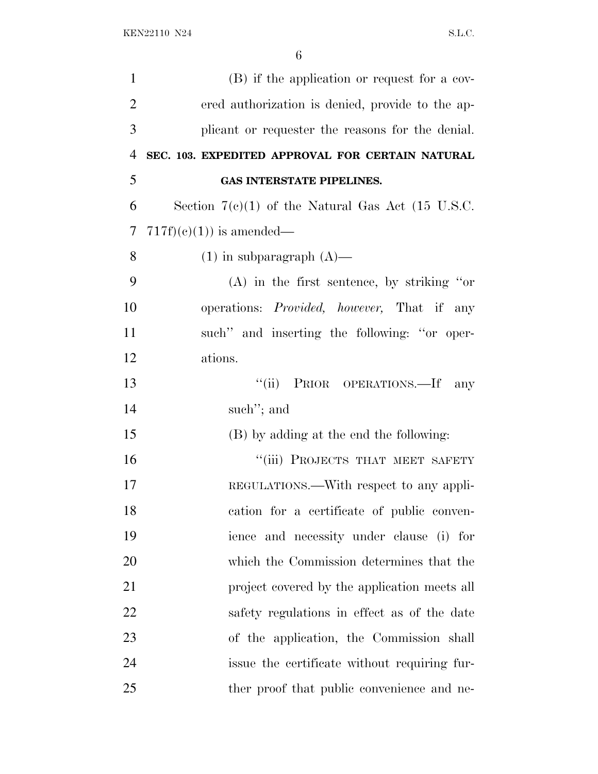| $\mathbf{1}$   | (B) if the application or request for a cov-               |
|----------------|------------------------------------------------------------|
| $\overline{2}$ | ered authorization is denied, provide to the ap-           |
| 3              | plicant or requester the reasons for the denial.           |
| 4              | SEC. 103. EXPEDITED APPROVAL FOR CERTAIN NATURAL           |
| 5              | GAS INTERSTATE PIPELINES.                                  |
| 6              | Section $7(c)(1)$ of the Natural Gas Act (15 U.S.C.        |
| 7              | $717f)(e)(1)$ is amended—                                  |
| 8              | $(1)$ in subparagraph $(A)$ —                              |
| 9              | $(A)$ in the first sentence, by striking "or               |
| 10             | operations: <i>Provided</i> , <i>however</i> , That if any |
| 11             | such" and inserting the following: "or oper-               |
| 12             | ations.                                                    |
| 13             | "(ii) PRIOR OPERATIONS.—If<br>any                          |
| 14             | such"; and                                                 |
| 15             | (B) by adding at the end the following:                    |
| 16             | "(iii) PROJECTS THAT MEET SAFETY                           |
| 17             | REGULATIONS.—With respect to any appli-                    |
| 18             | cation for a certificate of public conven-                 |
| 19             | ience and necessity under clause (i) for                   |
| 20             | which the Commission determines that the                   |
| 21             | project covered by the application meets all               |
| 22             | safety regulations in effect as of the date                |
| 23             | of the application, the Commission shall                   |
| 24             | issue the certificate without requiring fur-               |
| 25             | ther proof that public convenience and ne-                 |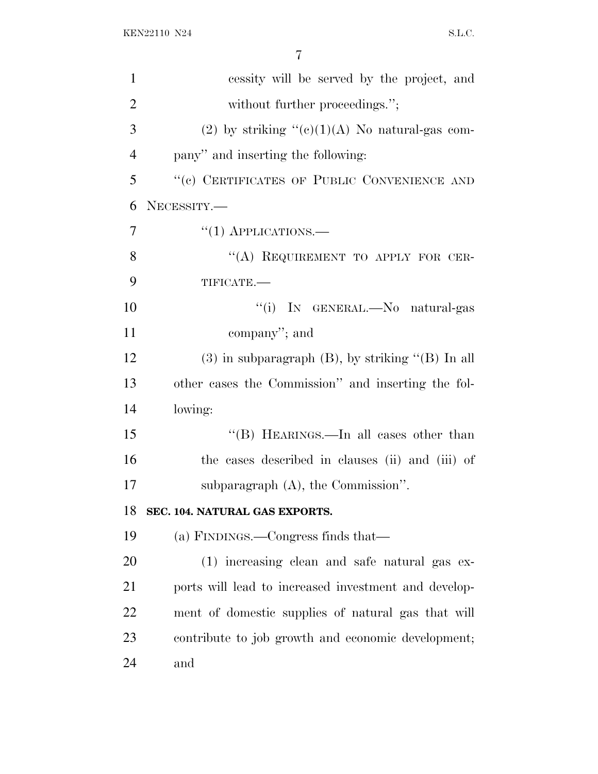| $\mathbf{1}$   | cessity will be served by the project, and               |
|----------------|----------------------------------------------------------|
| $\overline{2}$ | without further proceedings.";                           |
| 3              | (2) by striking " $(e)(1)(A)$ No natural-gas com-        |
| $\overline{4}$ | pany" and inserting the following:                       |
| 5              | "(c) CERTIFICATES OF PUBLIC CONVENIENCE AND              |
| 6              | NECESSITY.-                                              |
| 7              | $``(1)$ APPLICATIONS.—                                   |
| 8              | "(A) REQUIREMENT TO APPLY FOR CER-                       |
| 9              | TIFICATE.                                                |
| 10             | "(i) IN GENERAL.—No natural-gas                          |
| 11             | company"; and                                            |
| 12             | $(3)$ in subparagraph $(B)$ , by striking " $(B)$ In all |
| 13             | other cases the Commission" and inserting the fol-       |
| 14             | lowing:                                                  |
| 15             | "(B) HEARINGS.—In all cases other than                   |
| 16             | the cases described in clauses (ii) and (iii) of         |
| 17             | subparagraph $(A)$ , the Commission".                    |
| 18             | SEC. 104. NATURAL GAS EXPORTS.                           |
| 19             | (a) FINDINGS.—Congress finds that—                       |
| 20             | (1) increasing clean and safe natural gas ex-            |
| 21             | ports will lead to increased investment and develop-     |
| 22             | ment of domestic supplies of natural gas that will       |
| 23             | contribute to job growth and economic development;       |
| 24             | and                                                      |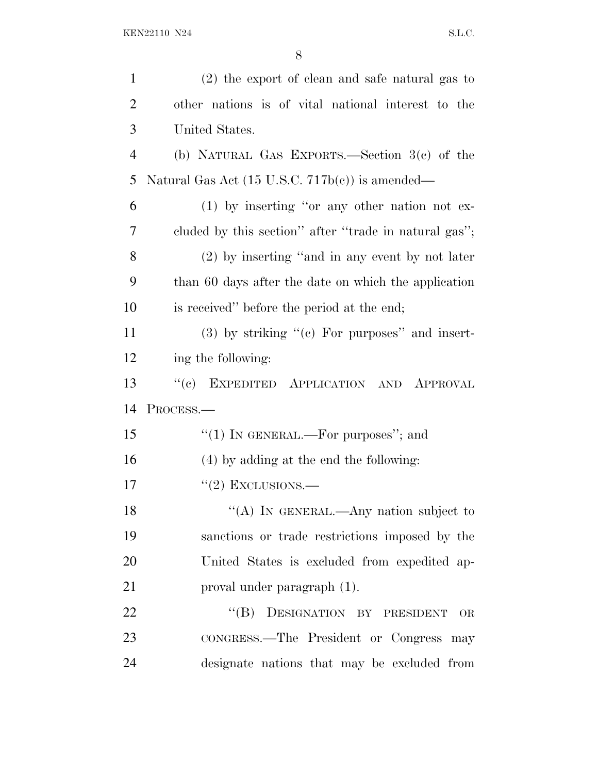| $\mathbf{1}$   | $(2)$ the export of clean and safe natural gas to          |
|----------------|------------------------------------------------------------|
| $\overline{2}$ | other nations is of vital national interest to the         |
| 3              | United States.                                             |
| $\overline{4}$ | (b) NATURAL GAS EXPORTS.—Section $3(e)$ of the             |
| 5              | Natural Gas Act $(15 \text{ U.S.C. } 717b(e))$ is amended— |
| 6              | $(1)$ by inserting "or any other nation not ex-            |
| 7              | cluded by this section" after "trade in natural gas";      |
| 8              | (2) by inserting "and in any event by not later            |
| 9              | than 60 days after the date on which the application       |
| 10             | is received" before the period at the end;                 |
| 11             | $(3)$ by striking " $(e)$ For purposes" and insert-        |
| 12             | ing the following:                                         |
| 13             | EXPEDITED APPLICATION AND APPROVAL<br>``(e)                |
| 14             | PROCESS.—                                                  |
| 15             | "(1) IN GENERAL.—For purposes"; and                        |
| 16             | (4) by adding at the end the following:                    |
| 17             | $\lq(2)$ EXCLUSIONS.—                                      |
| 18             | "(A) IN GENERAL.—Any nation subject to                     |
| 19             | sanctions or trade restrictions imposed by the             |
| 20             | United States is excluded from expedited ap-               |
| 21             | proval under paragraph (1).                                |
| 22             | DESIGNATION BY PRESIDENT<br>$\lq\lq (B)$<br><b>OR</b>      |
| 23             | CONGRESS.-The President or Congress may                    |
|                |                                                            |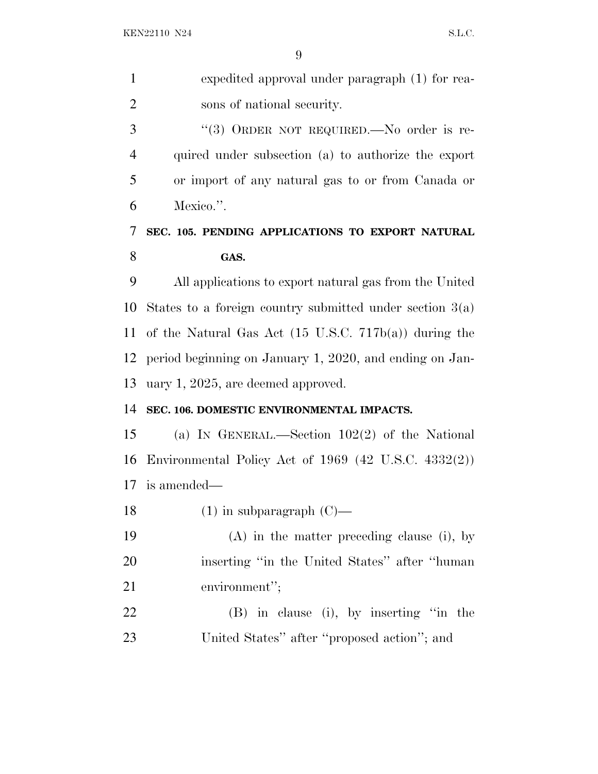| $\mathbf{1}$   | expedited approval under paragraph (1) for rea-                  |
|----------------|------------------------------------------------------------------|
| $\overline{2}$ | sons of national security.                                       |
| 3              | "(3) ORDER NOT REQUIRED.—No order is re-                         |
| $\overline{4}$ | quired under subsection (a) to authorize the export              |
| 5              | or import of any natural gas to or from Canada or                |
| 6              | Mexico.".                                                        |
| 7              | SEC. 105. PENDING APPLICATIONS TO EXPORT NATURAL                 |
| 8              | GAS.                                                             |
| 9              | All applications to export natural gas from the United           |
| 10             | States to a foreign country submitted under section $3(a)$       |
| 11             | of the Natural Gas Act $(15 \text{ U.S.C. } 717b(a))$ during the |
| 12             | period beginning on January 1, 2020, and ending on Jan-          |
| 13             | uary $1, 2025$ , are deemed approved.                            |
| 14             | SEC. 106. DOMESTIC ENVIRONMENTAL IMPACTS.                        |
| 15             | (a) IN GENERAL.—Section $102(2)$ of the National                 |
| 16             | Environmental Policy Act of $1969$ (42 U.S.C. 4332(2))           |
| 17             | is amended—                                                      |
| 18             | $(1)$ in subparagraph $(C)$ —                                    |
| 19             | $(A)$ in the matter preceding clause (i), by                     |
| 20             | inserting "in the United States" after "human                    |
| 21             | environment";                                                    |
| 22             | (B) in clause (i), by inserting "in the                          |
| 23             | United States" after "proposed action"; and                      |
|                |                                                                  |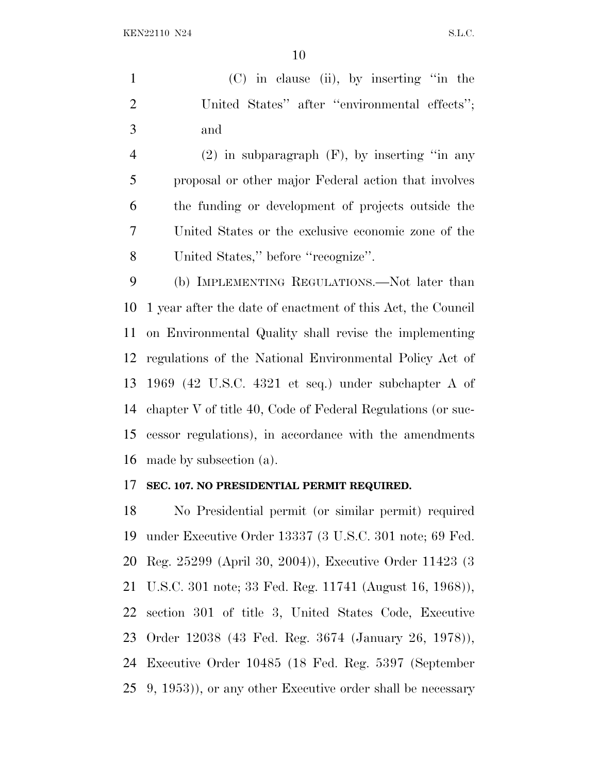(C) in clause (ii), by inserting ''in the 2 United States" after "environmental effects"; and

4 (2) in subparagraph  $(F)$ , by inserting "in any proposal or other major Federal action that involves the funding or development of projects outside the United States or the exclusive economic zone of the United States,'' before ''recognize''.

 (b) IMPLEMENTING REGULATIONS.—Not later than 1 year after the date of enactment of this Act, the Council on Environmental Quality shall revise the implementing regulations of the National Environmental Policy Act of 1969 (42 U.S.C. 4321 et seq.) under subchapter A of chapter V of title 40, Code of Federal Regulations (or suc- cessor regulations), in accordance with the amendments made by subsection (a).

#### **SEC. 107. NO PRESIDENTIAL PERMIT REQUIRED.**

 No Presidential permit (or similar permit) required under Executive Order 13337 (3 U.S.C. 301 note; 69 Fed. Reg. 25299 (April 30, 2004)), Executive Order 11423 (3 U.S.C. 301 note; 33 Fed. Reg. 11741 (August 16, 1968)), section 301 of title 3, United States Code, Executive Order 12038 (43 Fed. Reg. 3674 (January 26, 1978)), Executive Order 10485 (18 Fed. Reg. 5397 (September 9, 1953)), or any other Executive order shall be necessary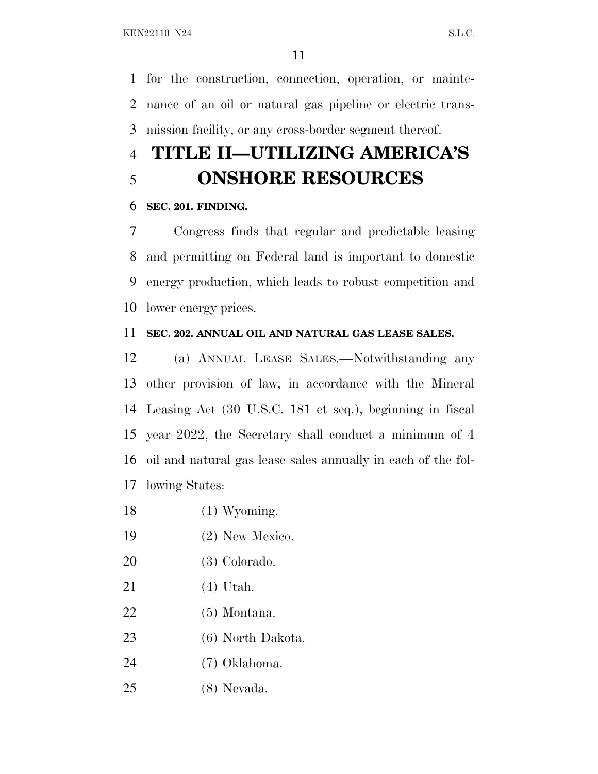for the construction, connection, operation, or mainte- nance of an oil or natural gas pipeline or electric trans-mission facility, or any cross-border segment thereof.

## **TITLE II—UTILIZING AMERICA'S ONSHORE RESOURCES**

### **SEC. 201. FINDING.**

 Congress finds that regular and predictable leasing and permitting on Federal land is important to domestic energy production, which leads to robust competition and lower energy prices.

### **SEC. 202. ANNUAL OIL AND NATURAL GAS LEASE SALES.**

 (a) ANNUAL LEASE SALES.—Notwithstanding any other provision of law, in accordance with the Mineral Leasing Act (30 U.S.C. 181 et seq.), beginning in fiscal year 2022, the Secretary shall conduct a minimum of 4 oil and natural gas lease sales annually in each of the fol-lowing States:

- 18 (1) Wyoming.
- (2) New Mexico.
- (3) Colorado.
- (4) Utah.
- (5) Montana.
- (6) North Dakota.
- (7) Oklahoma.
- (8) Nevada.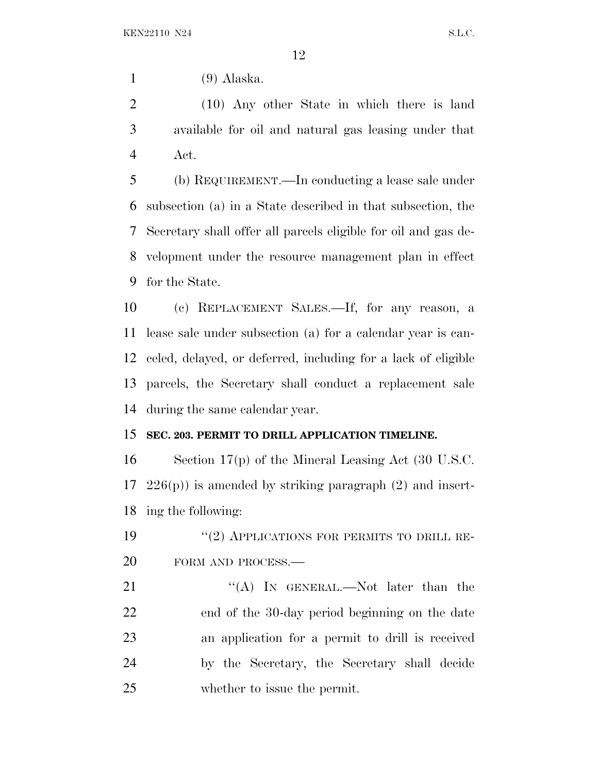(9) Alaska.

 (10) Any other State in which there is land available for oil and natural gas leasing under that Act.

 (b) REQUIREMENT.—In conducting a lease sale under subsection (a) in a State described in that subsection, the Secretary shall offer all parcels eligible for oil and gas de- velopment under the resource management plan in effect for the State.

 (c) REPLACEMENT SALES.—If, for any reason, a lease sale under subsection (a) for a calendar year is can- celed, delayed, or deferred, including for a lack of eligible parcels, the Secretary shall conduct a replacement sale during the same calendar year.

### **SEC. 203. PERMIT TO DRILL APPLICATION TIMELINE.**

 Section 17(p) of the Mineral Leasing Act (30 U.S.C.  $17\quad226(p)$  is amended by striking paragraph  $(2)$  and insert-ing the following:

19 "(2) APPLICATIONS FOR PERMITS TO DRILL RE-20 FORM AND PROCESS.—

21 "'(A) In GENERAL.—Not later than the end of the 30-day period beginning on the date an application for a permit to drill is received by the Secretary, the Secretary shall decide whether to issue the permit.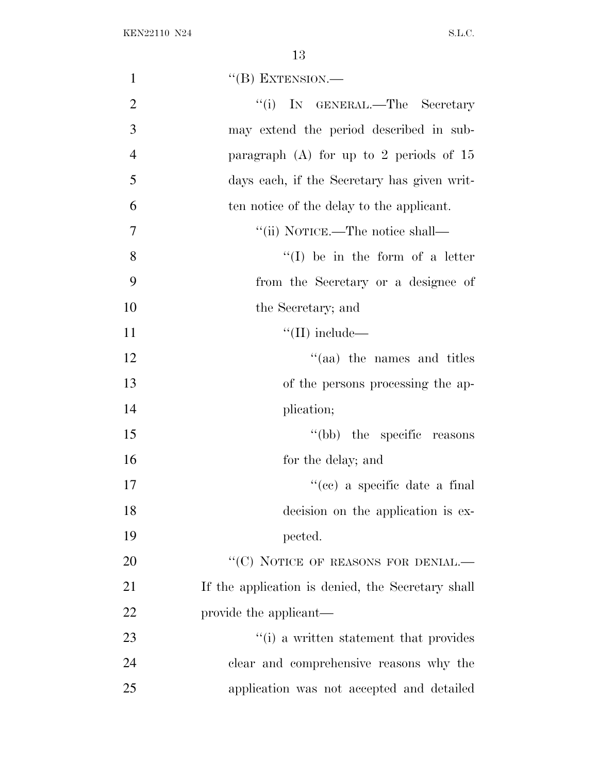| $\mathbf{1}$   | $\lq\lq(B)$ EXTENSION.—                           |
|----------------|---------------------------------------------------|
| $\overline{2}$ | ``(i)<br>IN GENERAL.—The Secretary                |
| 3              | may extend the period described in sub-           |
| $\overline{4}$ | paragraph $(A)$ for up to 2 periods of 15         |
| 5              | days each, if the Secretary has given writ-       |
| 6              | ten notice of the delay to the applicant.         |
| 7              | "(ii) NOTICE.—The notice shall—                   |
| 8              | $\lq\lq$ be in the form of a letter               |
| 9              | from the Secretary or a designee of               |
| 10             | the Secretary; and                                |
| 11             | $\lq\lq$ (II) include—                            |
| 12             | $\cdot$ (aa) the names and titles                 |
| 13             | of the persons processing the ap-                 |
| 14             | plication;                                        |
| 15             | "(bb) the specific reasons"                       |
| 16             | for the delay; and                                |
| 17             | "(cc) a specific date a final                     |
| 18             | decision on the application is ex-                |
| 19             | pected.                                           |
| 20             | "(C) NOTICE OF REASONS FOR DENIAL. $-$            |
| 21             | If the application is denied, the Secretary shall |
| 22             | provide the applicant—                            |
| 23             | "(i) a written statement that provides            |
| 24             | clear and comprehensive reasons why the           |
| 25             | application was not accepted and detailed         |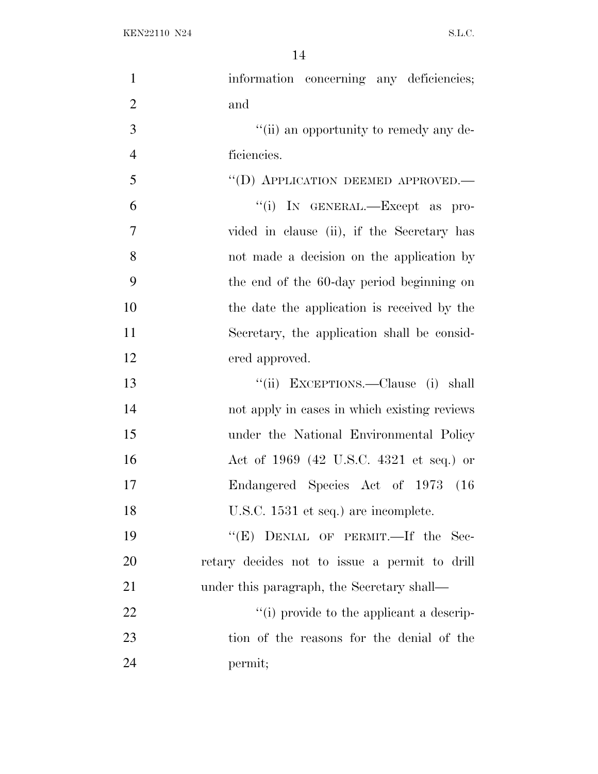| $\mathbf{1}$   | information concerning any deficiencies;      |
|----------------|-----------------------------------------------|
| $\overline{2}$ | and                                           |
| 3              | "(ii) an opportunity to remedy any de-        |
| $\overline{4}$ | ficiencies.                                   |
| 5              | "(D) APPLICATION DEEMED APPROVED.—            |
| 6              | "(i) IN GENERAL.—Except as pro-               |
| $\overline{7}$ | vided in clause (ii), if the Secretary has    |
| 8              | not made a decision on the application by     |
| 9              | the end of the 60-day period beginning on     |
| 10             | the date the application is received by the   |
| 11             | Secretary, the application shall be consid-   |
| 12             | ered approved.                                |
| 13             | "(ii) EXCEPTIONS.—Clause (i) shall            |
| 14             | not apply in cases in which existing reviews  |
| 15             | under the National Environmental Policy       |
| 16             | Act of 1969 (42 U.S.C. 4321 et seq.) or       |
| 17             | Endangered Species Act of 1973 (16            |
| 18             | U.S.C. 1531 et seq.) are incomplete.          |
| 19             | "(E) DENIAL OF PERMIT.—If the Sec-            |
| 20             | retary decides not to issue a permit to drill |
| 21             | under this paragraph, the Secretary shall—    |
| 22             | "(i) provide to the applicant a descrip-      |
| 23             | tion of the reasons for the denial of the     |
| 24             | permit;                                       |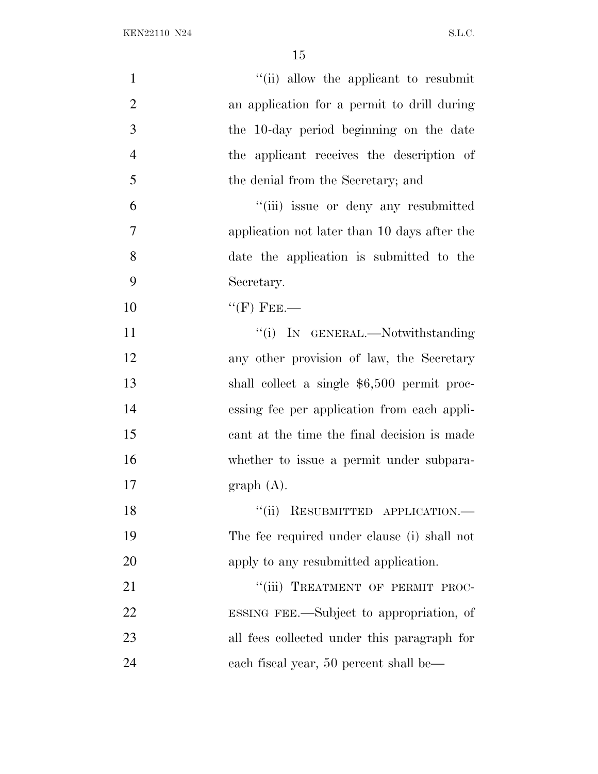| $\mathbf{1}$   | "(ii) allow the applicant to resubmit        |
|----------------|----------------------------------------------|
| $\overline{2}$ | an application for a permit to drill during  |
| 3              | the 10-day period beginning on the date      |
| $\overline{4}$ | the applicant receives the description of    |
| 5              | the denial from the Secretary; and           |
| 6              | "(iii) issue or deny any resubmitted         |
| 7              | application not later than 10 days after the |
| 8              | date the application is submitted to the     |
| 9              | Secretary.                                   |
| 10             | $``$ (F) FEE.—                               |
| 11             | "(i) IN GENERAL.—Notwithstanding             |
| 12             | any other provision of law, the Secretary    |
| 13             | shall collect a single \$6,500 permit proc-  |
| 14             | essing fee per application from each appli-  |
| 15             | cant at the time the final decision is made  |
| 16             | whether to issue a permit under subpara-     |
| 17             | graph(A).                                    |
| 18             | "(ii) RESUBMITTED APPLICATION.—              |
| 19             | The fee required under clause (i) shall not  |
| 20             | apply to any resubmitted application.        |
| 21             | "(iii) TREATMENT OF PERMIT PROC-             |
| 22             | ESSING FEE.—Subject to appropriation, of     |
| 23             | all fees collected under this paragraph for  |
| 24             | each fiscal year, 50 percent shall be—       |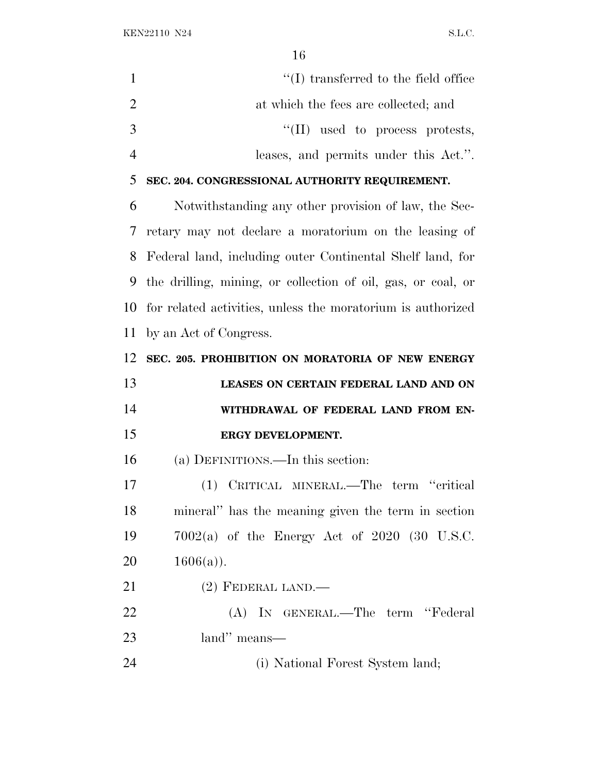KEN22110 N24 S.L.C.

| 1              | $\lq\lq$ transferred to the field office                     |
|----------------|--------------------------------------------------------------|
| $\overline{2}$ | at which the fees are collected; and                         |
| 3              | $\lq\lq$ (II) used to process protests,                      |
| $\overline{4}$ | leases, and permits under this Act.".                        |
| 5              | SEC. 204. CONGRESSIONAL AUTHORITY REQUIREMENT.               |
| 6              | Notwithstanding any other provision of law, the Sec-         |
| 7              | retary may not declare a moratorium on the leasing of        |
| 8              | Federal land, including outer Continental Shelf land, for    |
| 9              | the drilling, mining, or collection of oil, gas, or coal, or |
| 10             | for related activities, unless the moratorium is authorized  |
| 11             | by an Act of Congress.                                       |
| 12             | SEC. 205. PROHIBITION ON MORATORIA OF NEW ENERGY             |
|                |                                                              |
| 13             | LEASES ON CERTAIN FEDERAL LAND AND ON                        |
| 14             | WITHDRAWAL OF FEDERAL LAND FROM EN-                          |
| 15             | ERGY DEVELOPMENT.                                            |
| 16             | (a) DEFINITIONS.—In this section:                            |
| 17             | (1) CRITICAL MINERAL.—The term "critical                     |
| 18             | mineral" has the meaning given the term in section           |
| 19             | $7002(a)$ of the Energy Act of $2020$ (30 U.S.C.             |
| 20             | $1606(a)$ ).                                                 |
| 21             | $(2)$ FEDERAL LAND.—                                         |
| 22             | (A) IN GENERAL.—The term "Federal                            |
| 23             | land" means—                                                 |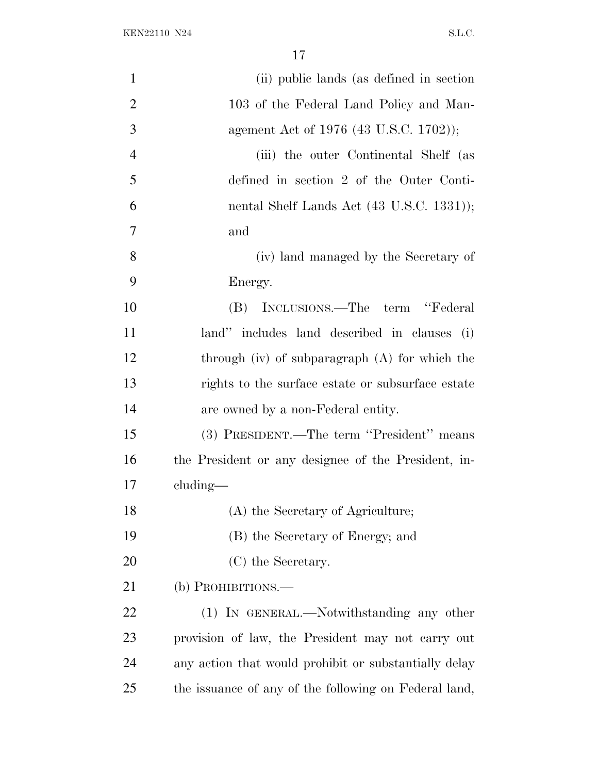| $\mathbf{1}$   | (ii) public lands (as defined in section)             |
|----------------|-------------------------------------------------------|
| $\overline{2}$ | 103 of the Federal Land Policy and Man-               |
| 3              | agement Act of 1976 (43 U.S.C. 1702));                |
| $\overline{4}$ | (iii) the outer Continental Shelf (as                 |
| 5              | defined in section 2 of the Outer Conti-              |
| 6              | nental Shelf Lands Act (43 U.S.C. 1331));             |
| 7              | and                                                   |
| 8              | (iv) land managed by the Secretary of                 |
| 9              | Energy.                                               |
| 10             | INCLUSIONS.—The term "Federal<br>(B)                  |
| 11             | land" includes land described in clauses (i)          |
| 12             | through $(iv)$ of subparagraph $(A)$ for which the    |
| 13             | rights to the surface estate or subsurface estate     |
| 14             | are owned by a non-Federal entity.                    |
| 15             | (3) PRESIDENT.—The term "President" means             |
| 16             | the President or any designee of the President, in-   |
| 17             | $cluding$ —                                           |
| 18             | (A) the Secretary of Agriculture;                     |
| 19             | (B) the Secretary of Energy; and                      |
| 20             | (C) the Secretary.                                    |
| 21             | (b) PROHIBITIONS.—                                    |
| 22             | (1) IN GENERAL.—Notwithstanding any other             |
| 23             | provision of law, the President may not carry out     |
| 24             | any action that would prohibit or substantially delay |
| 25             | the issuance of any of the following on Federal land, |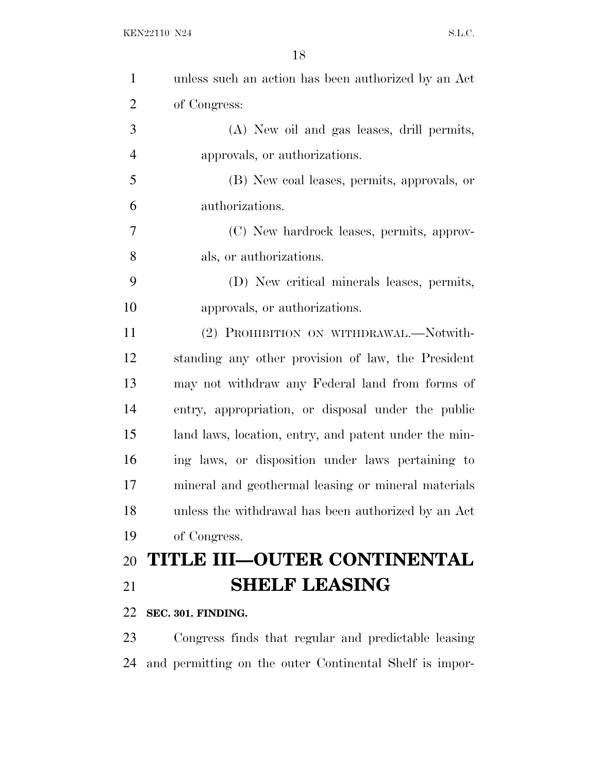| $\mathbf{1}$   | unless such an action has been authorized by an Act     |
|----------------|---------------------------------------------------------|
| $\overline{2}$ | of Congress:                                            |
| 3              | (A) New oil and gas leases, drill permits,              |
| $\overline{4}$ | approvals, or authorizations.                           |
| 5              | (B) New coal leases, permits, approvals, or             |
| 6              | authorizations.                                         |
| 7              | (C) New hardrock leases, permits, approv-               |
| 8              | als, or authorizations.                                 |
| 9              | (D) New critical minerals leases, permits,              |
| 10             | approvals, or authorizations.                           |
| 11             | (2) PROHIBITION ON WITHDRAWAL.—Notwith-                 |
| 12             | standing any other provision of law, the President      |
| 13             | may not withdraw any Federal land from forms of         |
| 14             | entry, appropriation, or disposal under the public      |
| 15             | land laws, location, entry, and patent under the min-   |
| 16             | ing laws, or disposition under laws pertaining to       |
| 17             | mineral and geothermal leasing or mineral materials     |
| 18             | unless the withdrawal has been authorized by an Act     |
| 19             | of Congress.                                            |
| 20             | TITLE III-OUTER CONTINENTAL                             |
| 21             | <b>SHELF LEASING</b>                                    |
| 22             | SEC. 301. FINDING.                                      |
| 23             | Congress finds that regular and predictable leasing     |
| 24             | and permitting on the outer Continental Shelf is impor- |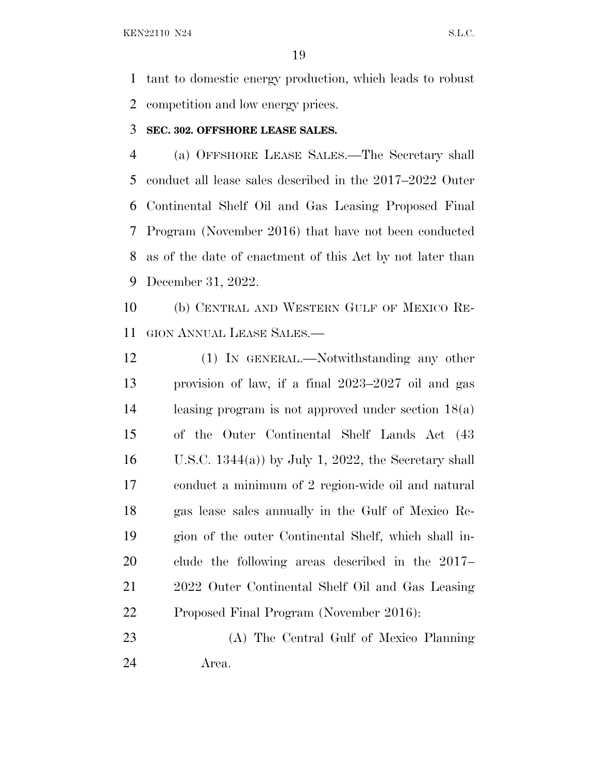tant to domestic energy production, which leads to robust competition and low energy prices.

#### **SEC. 302. OFFSHORE LEASE SALES.**

 (a) OFFSHORE LEASE SALES.—The Secretary shall conduct all lease sales described in the 2017–2022 Outer Continental Shelf Oil and Gas Leasing Proposed Final Program (November 2016) that have not been conducted as of the date of enactment of this Act by not later than December 31, 2022.

 (b) CENTRAL AND WESTERN GULF OF MEXICO RE-GION ANNUAL LEASE SALES.—

 (1) IN GENERAL.—Notwithstanding any other provision of law, if a final 2023–2027 oil and gas leasing program is not approved under section 18(a) of the Outer Continental Shelf Lands Act (43 16 U.S.C. 1344(a)) by July 1, 2022, the Secretary shall conduct a minimum of 2 region-wide oil and natural gas lease sales annually in the Gulf of Mexico Re- gion of the outer Continental Shelf, which shall in- clude the following areas described in the 2017– 2022 Outer Continental Shelf Oil and Gas Leasing Proposed Final Program (November 2016):

 (A) The Central Gulf of Mexico Planning Area.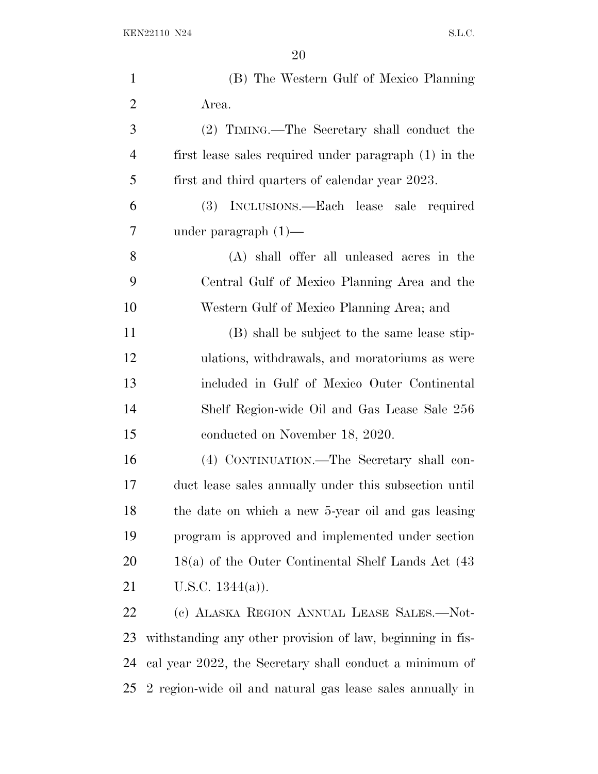| $\mathbf{1}$   | (B) The Western Gulf of Mexico Planning                    |
|----------------|------------------------------------------------------------|
| $\overline{2}$ | Area.                                                      |
| 3              | (2) TIMING.—The Secretary shall conduct the                |
| 4              | first lease sales required under paragraph (1) in the      |
| 5              | first and third quarters of calendar year 2023.            |
| 6              | INCLUSIONS.—Each lease sale required<br>(3)                |
| 7              | under paragraph $(1)$ —                                    |
| 8              | (A) shall offer all unleased acres in the                  |
| 9              | Central Gulf of Mexico Planning Area and the               |
| 10             | Western Gulf of Mexico Planning Area; and                  |
| 11             | (B) shall be subject to the same lease stip-               |
| 12             | ulations, withdrawals, and moratoriums as were             |
| 13             | included in Gulf of Mexico Outer Continental               |
| 14             | Shelf Region-wide Oil and Gas Lease Sale 256               |
| 15             | conducted on November 18, 2020.                            |
| 16             | (4) CONTINUATION.—The Secretary shall con-                 |
| 17             | duct lease sales annually under this subsection until      |
| 18             | the date on which a new 5-year oil and gas leasing         |
| 19             | program is approved and implemented under section          |
| 20             | $18(a)$ of the Outer Continental Shelf Lands Act $(43)$    |
| 21             | U.S.C. $1344(a)$ ).                                        |
| 22             | (c) ALASKA REGION ANNUAL LEASE SALES.—Not-                 |
| 23             | withstanding any other provision of law, beginning in fis- |
| 24             | cal year 2022, the Secretary shall conduct a minimum of    |

2 region-wide oil and natural gas lease sales annually in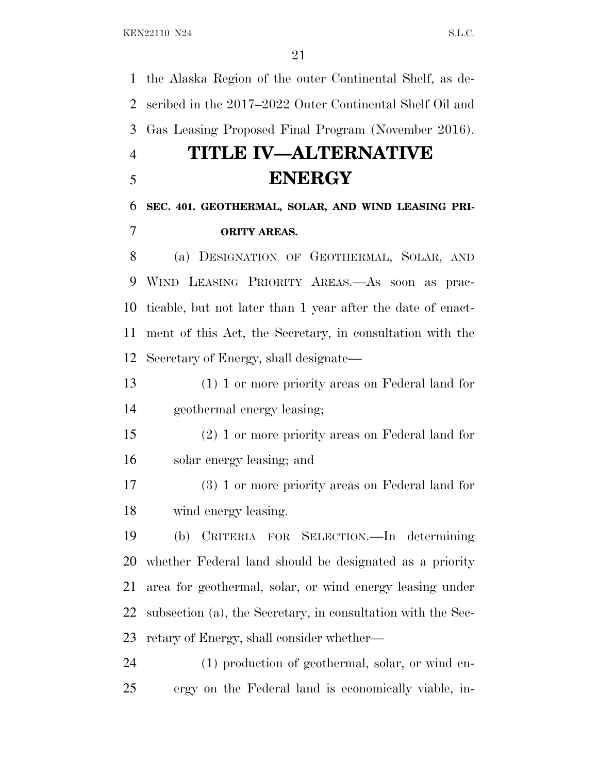the Alaska Region of the outer Continental Shelf, as de- scribed in the 2017–2022 Outer Continental Shelf Oil and Gas Leasing Proposed Final Program (November 2016).

## **TITLE IV—ALTERNATIVE ENERGY**

## **SEC. 401. GEOTHERMAL, SOLAR, AND WIND LEASING PRI-ORITY AREAS.**

 (a) DESIGNATION OF GEOTHERMAL, SOLAR, AND WIND LEASING PRIORITY AREAS.—As soon as prac- ticable, but not later than 1 year after the date of enact- ment of this Act, the Secretary, in consultation with the Secretary of Energy, shall designate—

 (1) 1 or more priority areas on Federal land for geothermal energy leasing;

 (2) 1 or more priority areas on Federal land for solar energy leasing; and

 (3) 1 or more priority areas on Federal land for wind energy leasing.

 (b) CRITERIA FOR SELECTION.—In determining whether Federal land should be designated as a priority area for geothermal, solar, or wind energy leasing under subsection (a), the Secretary, in consultation with the Sec-retary of Energy, shall consider whether—

 (1) production of geothermal, solar, or wind en-ergy on the Federal land is economically viable, in-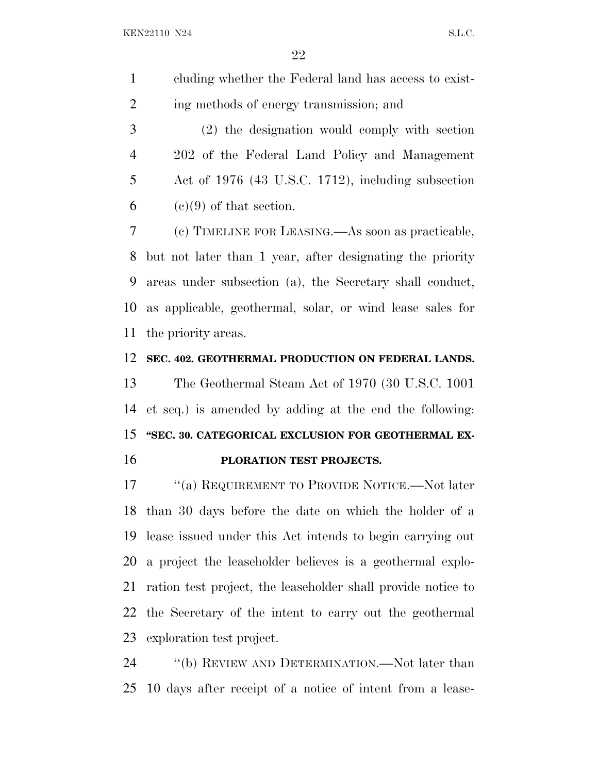|   | cluding whether the Federal land has access to exist- |
|---|-------------------------------------------------------|
| 2 | ing methods of energy transmission; and               |
| 3 | (2) the designation would comply with section         |

 202 of the Federal Land Policy and Management Act of 1976 (43 U.S.C. 1712), including subsection 6 (c)(9) of that section.

 (c) TIMELINE FOR LEASING.—As soon as practicable, but not later than 1 year, after designating the priority areas under subsection (a), the Secretary shall conduct, as applicable, geothermal, solar, or wind lease sales for the priority areas.

#### **SEC. 402. GEOTHERMAL PRODUCTION ON FEDERAL LANDS.**

 The Geothermal Steam Act of 1970 (30 U.S.C. 1001 et seq.) is amended by adding at the end the following: **''SEC. 30. CATEGORICAL EXCLUSION FOR GEOTHERMAL EX-PLORATION TEST PROJECTS.**

 ''(a) REQUIREMENT TO PROVIDE NOTICE.—Not later than 30 days before the date on which the holder of a lease issued under this Act intends to begin carrying out a project the leaseholder believes is a geothermal explo- ration test project, the leaseholder shall provide notice to the Secretary of the intent to carry out the geothermal exploration test project.

24 "(b) REVIEW AND DETERMINATION.—Not later than 10 days after receipt of a notice of intent from a lease-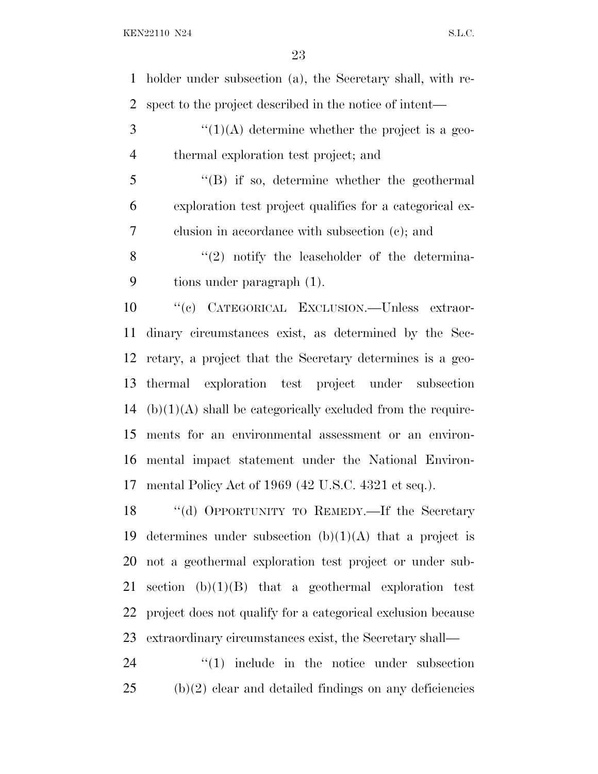holder under subsection (a), the Secretary shall, with re- spect to the project described in the notice of intent— ''(1)(A) determine whether the project is a geo- thermal exploration test project; and ''(B) if so, determine whether the geothermal exploration test project qualifies for a categorical ex- clusion in accordance with subsection (c); and  $\langle (2) \rangle$  notify the leaseholder of the determina- tions under paragraph (1). ''(c) CATEGORICAL EXCLUSION.—Unless extraor- dinary circumstances exist, as determined by the Sec- retary, a project that the Secretary determines is a geo- thermal exploration test project under subsection (b)(1)(A) shall be categorically excluded from the require- ments for an environmental assessment or an environ- mental impact statement under the National Environ- mental Policy Act of 1969 (42 U.S.C. 4321 et seq.). ''(d) OPPORTUNITY TO REMEDY.—If the Secretary 19 determines under subsection  $(b)(1)(A)$  that a project is not a geothermal exploration test project or under sub-21 section  $(b)(1)(B)$  that a geothermal exploration test project does not qualify for a categorical exclusion because extraordinary circumstances exist, the Secretary shall—

24  $\frac{1}{2}$  (1) include in the notice under subsection (b)(2) clear and detailed findings on any deficiencies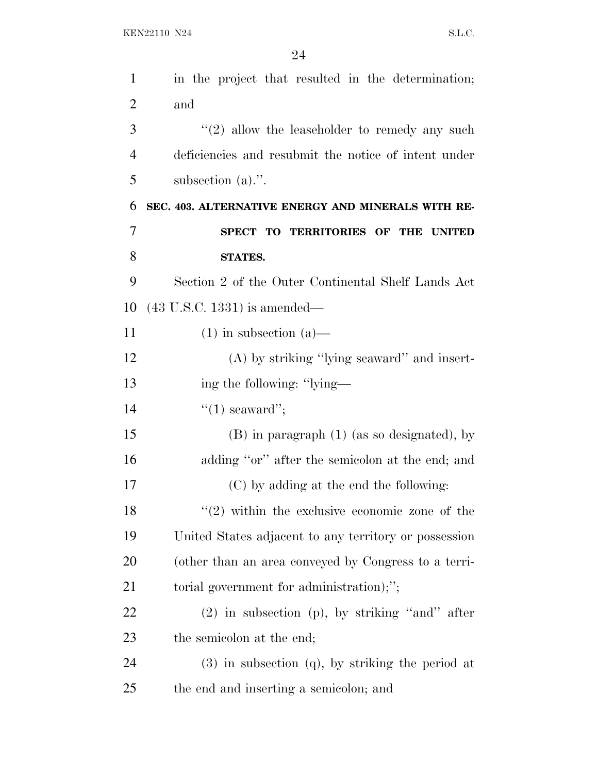| $\mathbf{1}$   | in the project that resulted in the determination;    |
|----------------|-------------------------------------------------------|
| $\overline{2}$ | and                                                   |
| 3              | $"(2)$ allow the leaseholder to remedy any such       |
| $\overline{4}$ | deficiencies and resubmit the notice of intent under  |
| 5              | subsection $(a)$ .".                                  |
| 6              | SEC. 403. ALTERNATIVE ENERGY AND MINERALS WITH RE-    |
| 7              | SPECT TO TERRITORIES OF THE UNITED                    |
| 8              | STATES.                                               |
| 9              | Section 2 of the Outer Continental Shelf Lands Act    |
| 10             | $(43 \text{ U.S.C. } 1331)$ is amended—               |
| 11             | $(1)$ in subsection $(a)$ —                           |
| 12             | $(A)$ by striking "lying seaward" and insert-         |
| 13             | ing the following: "lying—                            |
| 14             | $"(1)$ seaward";                                      |
| 15             | $(B)$ in paragraph $(1)$ (as so designated), by       |
| 16             | adding "or" after the semicolon at the end; and       |
| 17             | (C) by adding at the end the following:               |
| 18             | $(2)$ within the exclusive economic zone of the       |
| 19             | United States adjacent to any territory or possession |
| 20             | (other than an area conveyed by Congress to a terri-  |
| 21             | torial government for administration);";              |
| 22             | $(2)$ in subsection (p), by striking "and" after      |
| 23             | the semicolon at the end;                             |
| 24             | $(3)$ in subsection $(q)$ , by striking the period at |
| 25             | the end and inserting a semicolon; and                |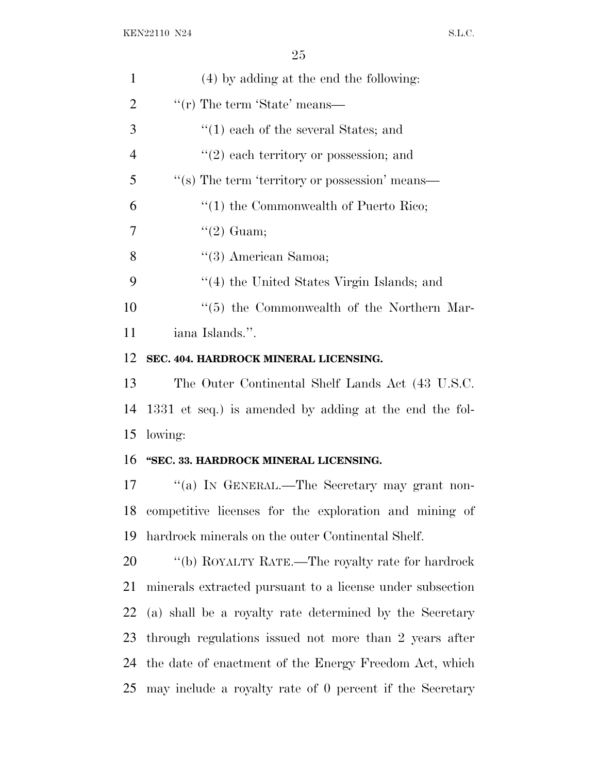|                | ∠ຍ                                                        |
|----------------|-----------------------------------------------------------|
| $\mathbf{1}$   | (4) by adding at the end the following:                   |
| $\overline{2}$ | "(r) The term 'State' means—                              |
| 3              | $(1)$ each of the several States; and                     |
| $\overline{4}$ | $f'(2)$ each territory or possession; and                 |
| 5              | "(s) The term 'territory or possession' means—            |
| 6              | $\cdot$ (1) the Commonwealth of Puerto Rico;              |
| 7              | $\lq(2)$ Guam;                                            |
| 8              | $\lq(3)$ American Samoa;                                  |
| 9              | "(4) the United States Virgin Islands; and                |
| 10             | $\lq(5)$ the Commonwealth of the Northern Mar-            |
| 11             | iana Islands.".                                           |
| 12             | SEC. 404. HARDROCK MINERAL LICENSING.                     |
| 13             | The Outer Continental Shelf Lands Act (43 U.S.C.          |
| 14             | 1331 et seq.) is amended by adding at the end the fol-    |
| 15             | lowing:                                                   |
| 16             | "SEC. 33. HARDROCK MINERAL LICENSING.                     |
| 17             | "(a) In GENERAL.—The Secretary may grant non-             |
| 18             | competitive licenses for the exploration and mining of    |
| 19             | hardrock minerals on the outer Continental Shelf.         |
| 20             | "(b) ROYALTY RATE.—The royalty rate for hardrock          |
| 21             | minerals extracted pursuant to a license under subsection |
| 22             | (a) shall be a royalty rate determined by the Secretary   |
| 23             | through regulations issued not more than 2 years after    |
| 24             | the date of enactment of the Energy Freedom Act, which    |

may include a royalty rate of 0 percent if the Secretary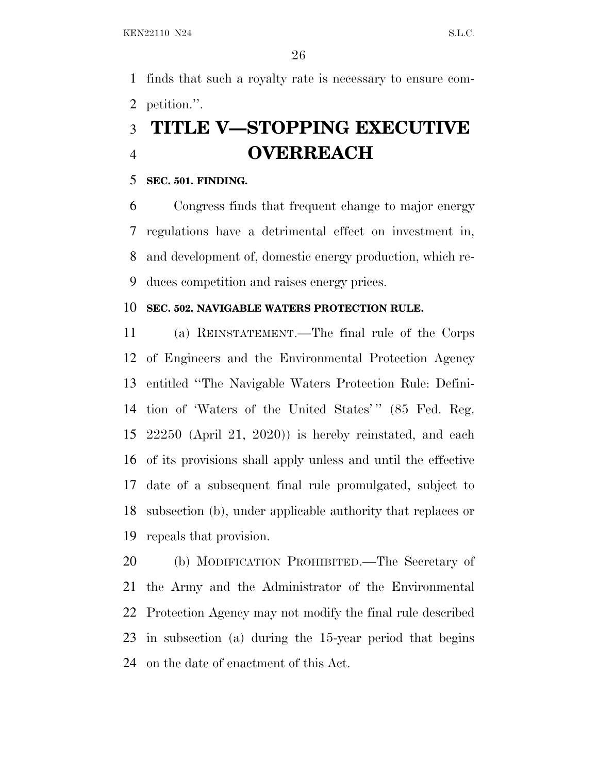finds that such a royalty rate is necessary to ensure com-petition.''.

## **TITLE V—STOPPING EXECUTIVE OVERREACH**

#### **SEC. 501. FINDING.**

 Congress finds that frequent change to major energy regulations have a detrimental effect on investment in, and development of, domestic energy production, which re-duces competition and raises energy prices.

#### **SEC. 502. NAVIGABLE WATERS PROTECTION RULE.**

 (a) REINSTATEMENT.—The final rule of the Corps of Engineers and the Environmental Protection Agency entitled ''The Navigable Waters Protection Rule: Defini-14 tion of 'Waters of the United States'" (85 Fed. Reg. 22250 (April 21, 2020)) is hereby reinstated, and each of its provisions shall apply unless and until the effective date of a subsequent final rule promulgated, subject to subsection (b), under applicable authority that replaces or repeals that provision.

 (b) MODIFICATION PROHIBITED.—The Secretary of the Army and the Administrator of the Environmental Protection Agency may not modify the final rule described in subsection (a) during the 15-year period that begins on the date of enactment of this Act.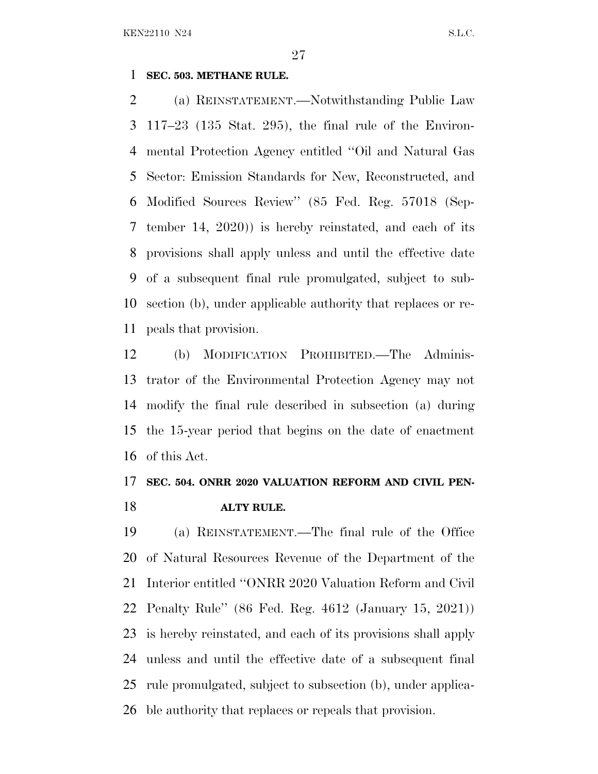#### **SEC. 503. METHANE RULE.**

 (a) REINSTATEMENT.—Notwithstanding Public Law 117–23 (135 Stat. 295), the final rule of the Environ- mental Protection Agency entitled ''Oil and Natural Gas Sector: Emission Standards for New, Reconstructed, and Modified Sources Review'' (85 Fed. Reg. 57018 (Sep- tember 14, 2020)) is hereby reinstated, and each of its provisions shall apply unless and until the effective date of a subsequent final rule promulgated, subject to sub- section (b), under applicable authority that replaces or re-peals that provision.

 (b) MODIFICATION PROHIBITED.—The Adminis- trator of the Environmental Protection Agency may not modify the final rule described in subsection (a) during the 15-year period that begins on the date of enactment of this Act.

### **SEC. 504. ONRR 2020 VALUATION REFORM AND CIVIL PEN-ALTY RULE.**

 (a) REINSTATEMENT.—The final rule of the Office of Natural Resources Revenue of the Department of the Interior entitled ''ONRR 2020 Valuation Reform and Civil Penalty Rule'' (86 Fed. Reg. 4612 (January 15, 2021)) is hereby reinstated, and each of its provisions shall apply unless and until the effective date of a subsequent final rule promulgated, subject to subsection (b), under applica-ble authority that replaces or repeals that provision.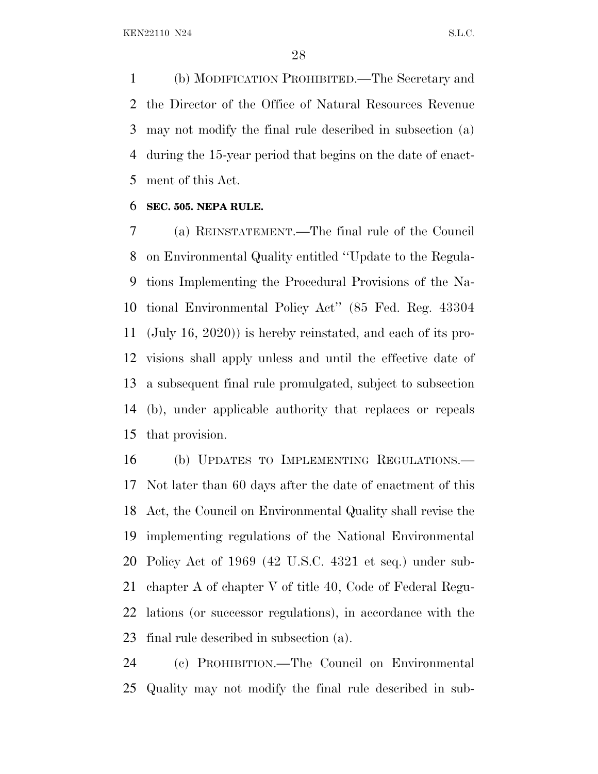(b) MODIFICATION PROHIBITED.—The Secretary and the Director of the Office of Natural Resources Revenue may not modify the final rule described in subsection (a) during the 15-year period that begins on the date of enact-ment of this Act.

#### **SEC. 505. NEPA RULE.**

 (a) REINSTATEMENT.—The final rule of the Council on Environmental Quality entitled ''Update to the Regula- tions Implementing the Procedural Provisions of the Na- tional Environmental Policy Act'' (85 Fed. Reg. 43304 (July 16, 2020)) is hereby reinstated, and each of its pro- visions shall apply unless and until the effective date of a subsequent final rule promulgated, subject to subsection (b), under applicable authority that replaces or repeals that provision.

 (b) UPDATES TO IMPLEMENTING REGULATIONS.— Not later than 60 days after the date of enactment of this Act, the Council on Environmental Quality shall revise the implementing regulations of the National Environmental Policy Act of 1969 (42 U.S.C. 4321 et seq.) under sub- chapter A of chapter V of title 40, Code of Federal Regu- lations (or successor regulations), in accordance with the final rule described in subsection (a).

 (c) PROHIBITION.—The Council on Environmental Quality may not modify the final rule described in sub